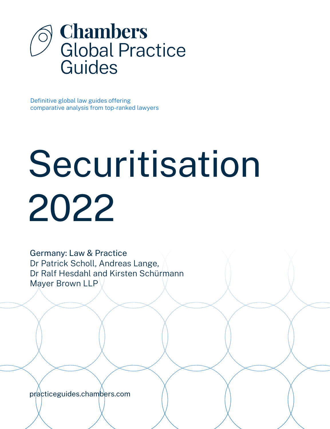

Definitive global law guides offering comparative analysis from top-ranked lawyers

# Securitisation 2022

Germany: Law & Practice Dr Patrick Scholl, Andreas Lange, Dr Ralf Hesdahl and Kirsten Schürmann Mayer Brown LLP

[practiceguides.chambers.com](http://practiceguides.chambers.com)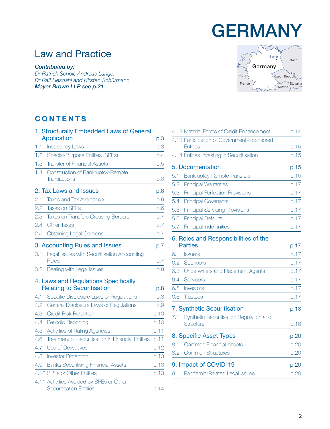## **GERMANY**

## Law and Practice

*Contributed by:*

*Dr Patrick Scholl, Andreas Lange, Dr Ralf Hesdahl and Kirsten Schürmann Mayer Brown LL[P see p.21](#page-20-0)*



### **CONTENTS**

|     | 1. Structurally Embedded Laws of General                                                      |            |
|-----|-----------------------------------------------------------------------------------------------|------------|
|     | <b>Application</b>                                                                            | p.3        |
| 1.1 | <b>Insolvency Laws</b>                                                                        | p.3        |
| 1.2 | Special-Purpose Entities (SPEs)                                                               | p.4        |
| 1.3 | <b>Transfer of Financial Assets</b>                                                           | p.5        |
| 1.4 | Construction of Bankruptcy-Remote                                                             |            |
|     | <b>Transactions</b>                                                                           | p.6        |
|     | 2. Tax Laws and Issues                                                                        | p.6        |
| 2.1 | <b>Taxes and Tax Avoidance</b>                                                                | p.6        |
| 2.2 | <b>Taxes on SPFs</b>                                                                          | p.6        |
| 2.3 | <b>Taxes on Transfers Crossing Borders</b>                                                    | p.7        |
| 2.4 | <b>Other Taxes</b>                                                                            | p.7        |
| 2.5 | <b>Obtaining Legal Opinions</b>                                                               | p.7        |
| 3.1 | 3. Accounting Rules and Issues<br>Legal Issues with Securitisation Accounting<br><b>Rules</b> | p.7<br>p.7 |
| 3.2 | Dealing with Legal Issues                                                                     | p.8        |
|     | 4. Laws and Regulations Specifically<br><b>Relating to Securitisation</b>                     | p.8        |
| 4.1 | Specific Disclosure Laws or Regulations                                                       | p.8        |
| 4.2 | General Disclosure Laws or Regulations                                                        | p.9        |
| 4.3 | <b>Credit Risk Retention</b>                                                                  | p.10       |
| 4.4 | Periodic Reporting                                                                            | p.10       |
| 4.5 | Activities of Rating Agencies                                                                 | p.11       |
| 4.6 | Treatment of Securitisation in Financial Entities                                             | p.11       |
| 4.7 | Use of Derivatives                                                                            | p.12       |
| 4.8 | <b>Investor Protection</b>                                                                    | p.13       |
| 4.9 | <b>Banks Securitising Financial Assets</b>                                                    | p.13       |
|     | 4.10 SPEs or Other Entities                                                                   | p.13       |
|     | 4.11 Activities Avoided by SPEs or Other<br><b>Securitisation Entities</b>                    | p.14       |

|     | 4.12 Material Forms of Credit Enhancement              | p.14 |
|-----|--------------------------------------------------------|------|
|     | 4.13 Participation of Government-Sponsored             |      |
|     | <b>Entities</b>                                        | p.15 |
|     | 4.14 Entities Investing in Securitisation              | p.15 |
|     | 5. Documentation                                       | p.15 |
| 5.1 | <b>Bankruptcy-Remote Transfers</b>                     | p.15 |
| 5.2 | <b>Principal Warranties</b>                            | p.17 |
| 5.3 | <b>Principal Perfection Provisions</b>                 | p.17 |
| 5.4 | <b>Principal Covenants</b>                             | p.17 |
| 5.5 | <b>Principal Servicing Provisions</b>                  | p.17 |
| 5.6 | <b>Principal Defaults</b>                              | p.17 |
| 5.7 | Principal Indemnities                                  | p.17 |
|     | 6. Roles and Responsibilities of the<br><b>Parties</b> | p.17 |
|     |                                                        |      |
| 6.1 | <b>Issuers</b>                                         | p.17 |
| 6.2 | Sponsors                                               | p.17 |
| 6.3 | Underwriters and Placement Agents                      | p.17 |
| 6.4 | Servicers                                              | p.17 |
| 6.5 | Investors                                              | p.17 |
| 6.6 | <b>Trustees</b>                                        | p.17 |
|     | 7. Synthetic Securitisation                            | p.18 |
| 7.1 | Synthetic Securitisation Regulation and                |      |
|     | Structure                                              | p.18 |
|     | 8. Specific Asset Types                                | p.20 |
| 8.1 | <b>Common Financial Assets</b>                         | p.20 |
| 8.2 | <b>Common Structures</b>                               | p.20 |
|     | 9. Impact of COVID-19                                  | p.20 |
| 9.1 | Pandemic-Related Legal Issues                          | p.20 |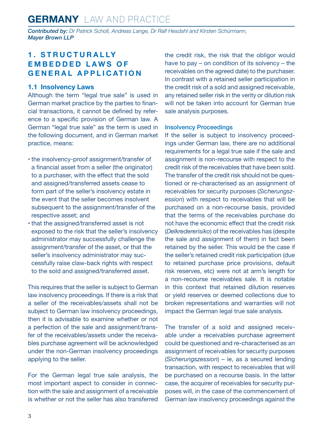<span id="page-2-0"></span>*Contributed by: Dr Patrick Scholl, Andreas Lange, Dr Ralf Hesdahl and Kirsten Schürmann, Mayer Brown LLP*

#### **1 . S T R U C T U R A L LY E M B E D D E D L A W S O F GENERAL APPLICATION**

#### **1.1 Insolvency Laws**

Although the term "legal true sale" is used in German market practice by the parties to financial transactions, it cannot be defined by reference to a specific provision of German law. A German "legal true sale" as the term is used in the following document, and in German market practice, means:

- the insolvency-proof assignment/transfer of a financial asset from a seller (the originator) to a purchaser, with the effect that the sold and assigned/transferred assets cease to form part of the seller's insolvency estate in the event that the seller becomes insolvent subsequent to the assignment/transfer of the respective asset; and
- that the assigned/transferred asset is not exposed to the risk that the seller's insolvency administrator may successfully challenge the assignment/transfer of the asset, or that the seller's insolvency administrator may successfully raise claw-back rights with respect to the sold and assigned/transferred asset.

This requires that the seller is subject to German law insolvency proceedings. If there is a risk that a seller of the receivables/assets shall not be subject to German law insolvency proceedings, then it is advisable to examine whether or not a perfection of the sale and assignment/transfer of the receivables/assets under the receivables purchase agreement will be acknowledged under the non-German insolvency proceedings applying to the seller.

For the German legal true sale analysis, the most important aspect to consider in connection with the sale and assignment of a receivable is whether or not the seller has also transferred the credit risk, the risk that the obligor would have to pay – on condition of its solvency – the receivables on the agreed date) to the purchaser. In contrast with a retained seller participation in the credit risk of a sold and assigned receivable, any retained seller risk in the verity or dilution risk will not be taken into account for German true sale analysis purposes.

#### Insolvency Proceedings

If the seller is subject to insolvency proceedings under German law, there are no additional requirements for a legal true sale if the sale and assignment is non-recourse with respect to the credit risk of the receivables that have been sold. The transfer of the credit risk should not be questioned or re-characterised as an assignment of receivables for security purposes (*Sicherungszession*) with respect to receivables that will be purchased on a non-recourse basis, provided that the terms of the receivables purchase do not have the economic effect that the credit risk (*Delkredererisiko*) of the receivables has (despite the sale and assignment of them) in fact been retained by the seller. This would be the case if the seller's retained credit risk participation (due to retained purchase price provisions, default risk reserves, etc) were not at arm's length for a non-recourse receivables sale. It is notable in this context that retained dilution reserves or yield reserves or deemed collections due to broken representations and warranties will not impact the German legal true sale analysis.

The transfer of a sold and assigned receivable under a receivables purchase agreement could be questioned and re-characterised as an assignment of receivables for security purposes (*Sicherungszession*) – ie, as a secured lending transaction, with respect to receivables that will be purchased on a recourse basis. In the latter case, the acquirer of receivables for security purposes will, in the case of the commencement of German law insolvency proceedings against the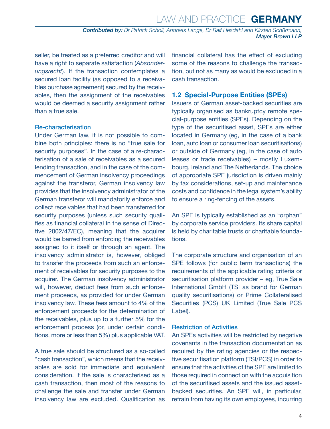<span id="page-3-0"></span>seller, be treated as a preferred creditor and will have a right to separate satisfaction (*Absonderungsrecht*). If the transaction contemplates a secured loan facility (as opposed to a receivables purchase agreement) secured by the receivables, then the assignment of the receivables would be deemed a security assignment rather than a true sale.

#### Re-characterisation

Under German law, it is not possible to combine both principles: there is no "true sale for security purposes". In the case of a re-characterisation of a sale of receivables as a secured lending transaction, and in the case of the commencement of German insolvency proceedings against the transferor, German insolvency law provides that the insolvency administrator of the German transferor will mandatorily enforce and collect receivables that had been transferred for security purposes (unless such security qualifies as financial collateral in the sense of Directive 2002/47/EC), meaning that the acquirer would be barred from enforcing the receivables assigned to it itself or through an agent. The insolvency administrator is, however, obliged to transfer the proceeds from such an enforcement of receivables for security purposes to the acquirer. The German insolvency administrator will, however, deduct fees from such enforcement proceeds, as provided for under German insolvency law. These fees amount to 4% of the enforcement proceeds for the determination of the receivables, plus up to a further 5% for the enforcement process (or, under certain conditions, more or less than 5%) plus applicable VAT.

A true sale should be structured as a so-called "cash transaction", which means that the receivables are sold for immediate and equivalent consideration. If the sale is characterised as a cash transaction, then most of the reasons to challenge the sale and transfer under German insolvency law are excluded. Qualification as financial collateral has the effect of excluding some of the reasons to challenge the transaction, but not as many as would be excluded in a cash transaction.

#### **1.2 Special-Purpose Entities (SPEs)**

Issuers of German asset-backed securities are typically organised as bankruptcy remote special-purpose entities (SPEs). Depending on the type of the securitised asset, SPEs are either located in Germany (eg, in the case of a bank loan, auto loan or consumer loan securitisations) or outside of Germany (eg, in the case of auto leases or trade receivables) – mostly Luxembourg, Ireland and The Netherlands. The choice of appropriate SPE jurisdiction is driven mainly by tax considerations, set-up and maintenance costs and confidence in the legal system's ability to ensure a ring-fencing of the assets.

An SPE is typically established as an "orphan" by corporate service providers. Its share capital is held by charitable trusts or charitable foundations.

The corporate structure and organisation of an SPE follows (for public term transactions) the requirements of the applicable rating criteria or securitisation platform provider – eg, True Sale International GmbH (TSI as brand for German quality securitisations) or Prime Collateralised Securities (PCS) UK Limited (True Sale PCS Label).

#### Restriction of Activities

An SPEs activities will be restricted by negative covenants in the transaction documentation as required by the rating agencies or the respective securitisation platform (TSI/PCS) in order to ensure that the activities of the SPE are limited to those required in connection with the acquisition of the securitised assets and the issued assetbacked securities. An SPE will, in particular, refrain from having its own employees, incurring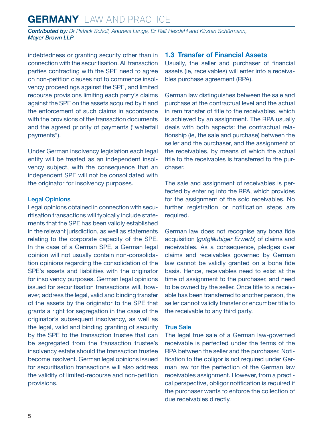<span id="page-4-0"></span>*Contributed by: Dr Patrick Scholl, Andreas Lange, Dr Ralf Hesdahl and Kirsten Schürmann, Mayer Brown LLP*

indebtedness or granting security other than in connection with the securitisation. All transaction parties contracting with the SPE need to agree on non-petition clauses not to commence insolvency proceedings against the SPE, and limited recourse provisions limiting each party's claims against the SPE on the assets acquired by it and the enforcement of such claims in accordance with the provisions of the transaction documents and the agreed priority of payments ("waterfall payments").

Under German insolvency legislation each legal entity will be treated as an independent insolvency subject, with the consequence that an independent SPE will not be consolidated with the originator for insolvency purposes.

#### Legal Opinions

Legal opinions obtained in connection with securitisation transactions will typically include statements that the SPE has been validly established in the relevant jurisdiction, as well as statements relating to the corporate capacity of the SPE. In the case of a German SPE, a German legal opinion will not usually contain non-consolidation opinions regarding the consolidation of the SPE's assets and liabilities with the originator for insolvency purposes. German legal opinions issued for securitisation transactions will, however, address the legal, valid and binding transfer of the assets by the originator to the SPE that grants a right for segregation in the case of the originator's subsequent insolvency, as well as the legal, valid and binding granting of security by the SPE to the transaction trustee that can be segregated from the transaction trustee's insolvency estate should the transaction trustee become insolvent. German legal opinions issued for securitisation transactions will also address the validity of limited-recourse and non-petition provisions.

#### **1.3 Transfer of Financial Assets**

Usually, the seller and purchaser of financial assets (ie, receivables) will enter into a receivables purchase agreement (RPA).

German law distinguishes between the sale and purchase at the contractual level and the actual in rem transfer of title to the receivables, which is achieved by an assignment. The RPA usually deals with both aspects: the contractual relationship (ie, the sale and purchase) between the seller and the purchaser, and the assignment of the receivables, by means of which the actual title to the receivables is transferred to the purchaser.

The sale and assignment of receivables is perfected by entering into the RPA, which provides for the assignment of the sold receivables. No further registration or notification steps are required.

German law does not recognise any bona fide acquisition (*gutgläubiger Erwerb*) of claims and receivables. As a consequence, pledges over claims and receivables governed by German law cannot be validly granted on a bona fide basis. Hence, receivables need to exist at the time of assignment to the purchaser, and need to be owned by the seller. Once title to a receivable has been transferred to another person, the seller cannot validly transfer or encumber title to the receivable to any third party.

#### True Sale

The legal true sale of a German law-governed receivable is perfected under the terms of the RPA between the seller and the purchaser. Notification to the obligor is not required under German law for the perfection of the German law receivables assignment. However, from a practical perspective, obligor notification is required if the purchaser wants to enforce the collection of due receivables directly.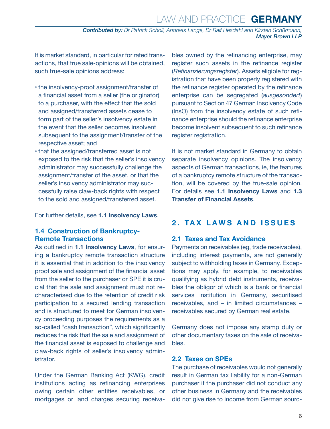## Law and Practice **GERMANY**

*Contributed by: Dr Patrick Scholl, Andreas Lange, Dr Ralf Hesdahl and Kirsten Schürmann, Mayer Brown LLP*

<span id="page-5-0"></span>It is market standard, in particular for rated transactions, that true sale-opinions will be obtained, such true-sale opinions address:

- the insolvency-proof assignment/transfer of a financial asset from a seller (the originator) to a purchaser, with the effect that the sold and assigned/transferred assets cease to form part of the seller's insolvency estate in the event that the seller becomes insolvent subsequent to the assignment/transfer of the respective asset; and
- that the assigned/transferred asset is not exposed to the risk that the seller's insolvency administrator may successfully challenge the assignment/transfer of the asset, or that the seller's insolvency administrator may successfully raise claw-back rights with respect to the sold and assigned/transferred asset.

For further details, see **1.1 Insolvency Laws**.

#### **1.4 Construction of Bankruptcy-Remote Transactions**

As outlined in **1.1 Insolvency Laws**, for ensuring a bankruptcy remote transaction structure it is essential that in addition to the insolvency proof sale and assignment of the financial asset from the seller to the purchaser or SPE it is crucial that the sale and assignment must not recharacterised due to the retention of credit risk participation to a secured lending transaction and is structured to meet for German insolvency proceeding purposes the requirements as a so-called "cash transaction", which significantly reduces the risk that the sale and assignment of the financial asset is exposed to challenge and claw-back rights of seller's insolvency admin**istrator** 

Under the German Banking Act (KWG), credit institutions acting as refinancing enterprises owing certain other entities receivables, or mortgages or land charges securing receivables owned by the refinancing enterprise, may register such assets in the refinance register (*Refinanzierungsregister*). Assets eligible for registration that have been properly registered with the refinance register operated by the refinance enterprise can be segregated (*ausgesondert*) pursuant to Section 47 German Insolvency Code (InsO) from the insolvency estate of such refinance enterprise should the refinance enterprise become insolvent subsequent to such refinance register registration.

It is not market standard in Germany to obtain separate insolvency opinions. The insolvency aspects of German transactions, ie, the features of a bankruptcy remote structure of the transaction, will be covered by the true-sale opinion. For details see **1.1 Insolvency Laws** and **1.3 Transfer of Financial Assets**.

#### **2. TAX LAWS AND ISSUES**

#### **2.1 Taxes and Tax Avoidance**

Payments on receivables (eg, trade receivables), including interest payments, are not generally subject to withholding taxes in Germany. Exceptions may apply, for example, to receivables qualifying as hybrid debt instruments, receivables the obligor of which is a bank or financial services institution in Germany, securitised receivables, and – in limited circumstances – receivables secured by German real estate.

Germany does not impose any stamp duty or other documentary taxes on the sale of receivables.

#### **2.2 Taxes on SPEs**

The purchase of receivables would not generally result in German tax liability for a non-German purchaser if the purchaser did not conduct any other business in Germany and the receivables did not give rise to income from German sourc-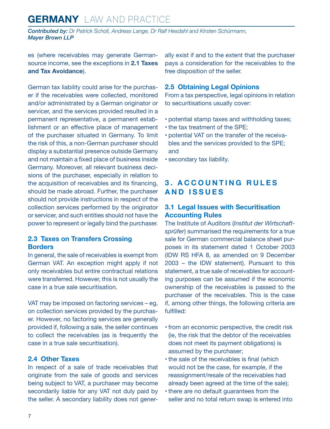<span id="page-6-0"></span>*Contributed by: Dr Patrick Scholl, Andreas Lange, Dr Ralf Hesdahl and Kirsten Schürmann, Mayer Brown LLP*

es (where receivables may generate Germansource income, see the exceptions in **2.1 Taxes and Tax Avoidance**).

German tax liability could arise for the purchaser if the receivables were collected, monitored and/or administrated by a German originator or servicer, and the services provided resulted in a permanent representative, a permanent establishment or an effective place of management of the purchaser situated in Germany. To limit the risk of this, a non-German purchaser should display a substantial presence outside Germany and not maintain a fixed place of business inside Germany. Moreover, all relevant business decisions of the purchaser, especially in relation to the acquisition of receivables and its financing, should be made abroad. Further, the purchaser should not provide instructions in respect of the collection services performed by the originator or servicer, and such entities should not have the power to represent or legally bind the purchaser.

#### **2.3 Taxes on Transfers Crossing Borders**

In general, the sale of receivables is exempt from German VAT. An exception might apply if not only receivables but entire contractual relations were transferred. However, this is not usually the case in a true sale securitisation.

VAT may be imposed on factoring services – eg, on collection services provided by the purchaser. However, no factoring services are generally provided if, following a sale, the seller continues to collect the receivables (as is frequently the case in a true sale securitisation).

#### **2.4 Other Taxes**

In respect of a sale of trade receivables that originate from the sale of goods and services being subject to VAT, a purchaser may become secondarily liable for any VAT not duly paid by the seller. A secondary liability does not generally exist if and to the extent that the purchaser pays a consideration for the receivables to the free disposition of the seller.

#### **2.5 Obtaining Legal Opinions**

From a tax perspective, legal opinions in relation to securitisations usually cover:

- potential stamp taxes and withholding taxes;
- the tax treatment of the SPE;
- potential VAT on the transfer of the receivables and the services provided to the SPE; and
- secondary tax liability.

#### **3 . A C C O U N T I N G R U L E S AND ISSUES**

#### **3.1 Legal Issues with Securitisation Accounting Rules**

The Institute of Auditors (*Institut der Wirtschaftsprüfer*) summarised the requirements for a true sale for German commercial balance sheet purposes in its statement dated 1 October 2003 (IDW RS HFA 8, as amended on 9 December 2003 – the IDW statement). Pursuant to this statement, a true sale of receivables for accounting purposes can be assumed if the economic ownership of the receivables is passed to the purchaser of the receivables. This is the case if, among other things, the following criteria are fulfilled:

- from an economic perspective, the credit risk (ie, the risk that the debtor of the receivables does not meet its payment obligations) is assumed by the purchaser;
- the sale of the receivables is final (which would not be the case, for example, if the reassignment/resale of the receivables had already been agreed at the time of the sale);
- there are no default guarantees from the seller and no total return swap is entered into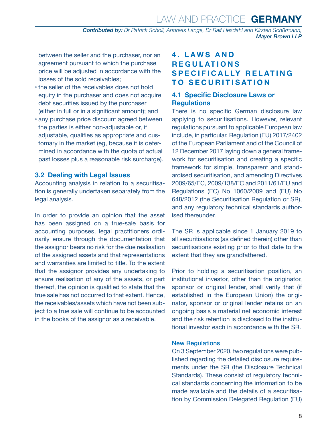Law and Practice **GERMANY**

*Contributed by: Dr Patrick Scholl, Andreas Lange, Dr Ralf Hesdahl and Kirsten Schürmann, Mayer Brown LLP*

<span id="page-7-0"></span>between the seller and the purchaser, nor an agreement pursuant to which the purchase price will be adjusted in accordance with the losses of the sold receivables;

- the seller of the receivables does not hold equity in the purchaser and does not acquire debt securities issued by the purchaser (either in full or in a significant amount); and
- any purchase price discount agreed between the parties is either non-adjustable or, if adjustable, qualifies as appropriate and customary in the market (eg, because it is determined in accordance with the quota of actual past losses plus a reasonable risk surcharge).

#### **3.2 Dealing with Legal Issues**

Accounting analysis in relation to a securitisation is generally undertaken separately from the legal analysis.

In order to provide an opinion that the asset has been assigned on a true-sale basis for accounting purposes, legal practitioners ordinarily ensure through the documentation that the assignor bears no risk for the due realisation of the assigned assets and that representations and warranties are limited to title. To the extent that the assignor provides any undertaking to ensure realisation of any of the assets, or part thereof, the opinion is qualified to state that the true sale has not occurred to that extent. Hence, the receivables/assets which have not been subject to a true sale will continue to be accounted in the books of the assignor as a receivable.

#### **4 . L A W S A N D REGULATIONS S P E C I F I C A L LY R E L AT I N G TO SECURITISATION**

#### **4.1 Specific Disclosure Laws or Regulations**

There is no specific German disclosure law applying to securitisations. However, relevant regulations pursuant to applicable European law include, in particular, Regulation (EU) 2017/2402 of the European Parliament and of the Council of 12 December 2017 laying down a general framework for securitisation and creating a specific framework for simple, transparent and standardised securitisation, and amending Directives 2009/65/EC, 2009/138/EC and 2011/61/EU and Regulations (EC) No 1060/2009 and (EU) No 648/2012 (the Securitisation Regulation or SR), and any regulatory technical standards authorised thereunder.

The SR is applicable since 1 January 2019 to all securitisations (as defined therein) other than securitisations existing prior to that date to the extent that they are grandfathered.

Prior to holding a securitisation position, an institutional investor, other than the originator, sponsor or original lender, shall verify that (if established in the European Union) the originator, sponsor or original lender retains on an ongoing basis a material net economic interest and the risk retention is disclosed to the institutional investor each in accordance with the SR.

#### New Regulations

On 3 September 2020, two regulations were published regarding the detailed disclosure requirements under the SR (the Disclosure Technical Standards). These consist of regulatory technical standards concerning the information to be made available and the details of a securitisation by Commission Delegated Regulation (EU)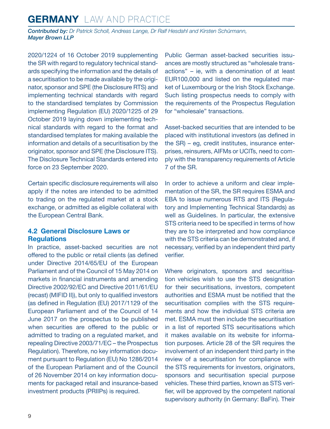<span id="page-8-0"></span>*Contributed by: Dr Patrick Scholl, Andreas Lange, Dr Ralf Hesdahl and Kirsten Schürmann, Mayer Brown LLP*

2020/1224 of 16 October 2019 supplementing the SR with regard to regulatory technical standards specifying the information and the details of a securitisation to be made available by the originator, sponsor and SPE (the Disclosure RTS) and implementing technical standards with regard to the standardised templates by Commission implementing Regulation (EU) 2020/1225 of 29 October 2019 laying down implementing technical standards with regard to the format and standardised templates for making available the information and details of a securitisation by the originator, sponsor and SPE (the Disclosure ITS). The Disclosure Technical Standards entered into force on 23 September 2020.

Certain specific disclosure requirements will also apply if the notes are intended to be admitted to trading on the regulated market at a stock exchange, or admitted as eligible collateral with the European Central Bank.

#### **4.2 General Disclosure Laws or Regulations**

In practice, asset-backed securities are not offered to the public or retail clients (as defined under Directive 2014/65/EU of the European Parliament and of the Council of 15 May 2014 on markets in financial instruments and amending Directive 2002/92/EC and Directive 2011/61/EU (recast) (MIFID II)), but only to qualified investors (as defined in Regulation (EU) 2017/1129 of the European Parliament and of the Council of 14 June 2017 on the prospectus to be published when securities are offered to the public or admitted to trading on a regulated market, and repealing Directive 2003/71/EC – the Prospectus Regulation). Therefore, no key information document pursuant to Regulation (EU) No 1286/2014 of the European Parliament and of the Council of 26 November 2014 on key information documents for packaged retail and insurance-based investment products (PRIIPs) is required.

Public German asset-backed securities issuances are mostly structured as "wholesale transactions" – ie, with a denomination of at least EUR100,000 and listed on the regulated market of Luxembourg or the Irish Stock Exchange. Such listing prospectus needs to comply with the requirements of the Prospectus Regulation for "wholesale" transactions.

Asset-backed securities that are intended to be placed with institutional investors (as defined in the SR) – eg, credit institutes, insurance enterprises, reinsurers, AIFMs or UCITs, need to comply with the transparency requirements of Article 7 of the SR.

In order to achieve a uniform and clear implementation of the SR, the SR requires ESMA and EBA to issue numerous RTS and ITS (Regulatory and Implementing Technical Standards) as well as Guidelines. In particular, the extensive STS criteria need to be specified in terms of how they are to be interpreted and how compliance with the STS criteria can be demonstrated and, if necessary, verified by an independent third party verifier.

Where originators, sponsors and securitisation vehicles wish to use the STS designation for their securitisations, investors, competent authorities and ESMA must be notified that the securitisation complies with the STS requirements and how the individual STS criteria are met. ESMA must then include the securitisation in a list of reported STS securitisations which it makes available on its website for information purposes. Article 28 of the SR requires the involvement of an independent third party in the review of a securitisation for compliance with the STS requirements for investors, originators, sponsors and securitisation special purpose vehicles. These third parties, known as STS verifier, will be approved by the competent national supervisory authority (in Germany: BaFin). Their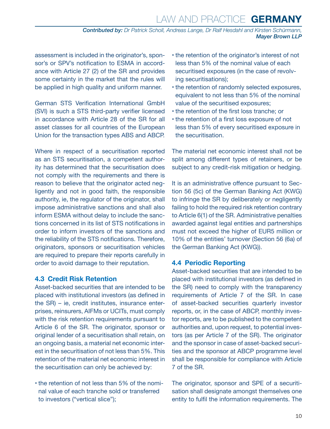<span id="page-9-0"></span>assessment is included in the originator's, sponsor's or SPV's notification to ESMA in accordance with Article 27 (2) of the SR and provides some certainty in the market that the rules will be applied in high quality and uniform manner.

German STS Verification International GmbH (SVI) is such a STS third-party verifier licensed in accordance with Article 28 of the SR for all asset classes for all countries of the European Union for the transaction types ABS and ABCP.

Where in respect of a securitisation reported as an STS securitisation, a competent authority has determined that the securitisation does not comply with the requirements and there is reason to believe that the originator acted negligently and not in good faith, the responsible authority, ie, the regulator of the originator, shall impose administrative sanctions and shall also inform ESMA without delay to include the sanctions concerned in its list of STS notifications in order to inform investors of the sanctions and the reliability of the STS notifications. Therefore, originators, sponsors or securitisation vehicles are required to prepare their reports carefully in order to avoid damage to their reputation.

#### **4.3 Credit Risk Retention**

Asset-backed securities that are intended to be placed with institutional investors (as defined in the SR) – ie, credit institutes, insurance enterprises, reinsurers, AIFMs or UCITs, must comply with the risk retention requirements pursuant to Article 6 of the SR. The originator, sponsor or original lender of a securitisation shall retain, on an ongoing basis, a material net economic interest in the securitisation of not less than 5%. This retention of the material net economic interest in the securitisation can only be achieved by:

• the retention of not less than 5% of the nominal value of each tranche sold or transferred to investors ("vertical slice");

- the retention of the originator's interest of not less than 5% of the nominal value of each securitised exposures (in the case of revolving securitisations);
- the retention of randomly selected exposures, equivalent to not less than 5% of the nominal value of the securitised exposures;
- the retention of the first loss tranche; or
- the retention of a first loss exposure of not less than 5% of every securitised exposure in the securitisation.

The material net economic interest shall not be split among different types of retainers, or be subject to any credit-risk mitigation or hedging.

It is an administrative offence pursuant to Section 56 (5c) of the German Banking Act (KWG) to infringe the SR by deliberately or negligently failing to hold the required risk retention contrary to Article 6(1) of the SR. Administrative penalties awarded against legal entities and partnerships must not exceed the higher of EUR5 million or 10% of the entities' turnover (Section 56 (6a) of the German Banking Act (KWG)).

#### **4.4 Periodic Reporting**

Asset-backed securities that are intended to be placed with institutional investors (as defined in the SR) need to comply with the transparency requirements of Article 7 of the SR. In case of asset-backed securities quarterly investor reports, or, in the case of ABCP, monthly investor reports, are to be published to the competent authorities and, upon request, to potential investors (as per Article 7 of the SR). The originator and the sponsor in case of asset-backed securities and the sponsor at ABCP programme level shall be responsible for compliance with Article 7 of the SR.

The originator, sponsor and SPE of a securitisation shall designate amongst themselves one entity to fulfil the information requirements. The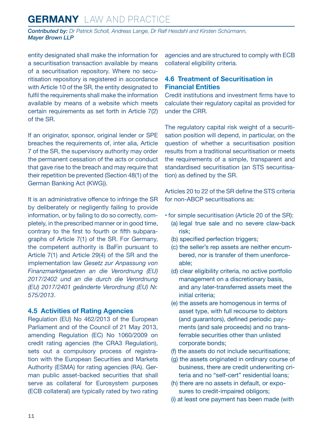<span id="page-10-0"></span>*Contributed by: Dr Patrick Scholl, Andreas Lange, Dr Ralf Hesdahl and Kirsten Schürmann, Mayer Brown LLP*

entity designated shall make the information for a securitisation transaction available by means of a securitisation repository. Where no securitisation repository is registered in accordance with Article 10 of the SR, the entity designated to fulfil the requirements shall make the information available by means of a website which meets certain requirements as set forth in Article 7(2) of the SR.

If an originator, sponsor, original lender or SPE breaches the requirements of, inter alia, Article 7 of the SR, the supervisory authority may order the permanent cessation of the acts or conduct that gave rise to the breach and may require that their repetition be prevented (Section 48(1) of the German Banking Act (KWG)).

It is an administrative offence to infringe the SR by deliberately or negligently failing to provide information, or by failing to do so correctly, completely, in the prescribed manner or in good time, contrary to the first to fourth or fifth subparagraphs of Article 7(1) of the SR. For Germany, the competent authority is BaFin pursuant to Article 7(1) and Article 29(4) of the SR and the implementation law *Gesetz zur Anpassung von Finanzmarktgesetzen an die Verordnung (EU) 2017/2402 und an die durch die Verordnung (EU) 2017/2401 geänderte Verordnung (EU) Nr. 575/2013*.

#### **4.5 Activities of Rating Agencies**

Regulation (EU) No 462/2013 of the European Parliament and of the Council of 21 May 2013, amending Regulation (EC) No 1060/2009 on credit rating agencies (the CRA3 Regulation), sets out a compulsory process of registration with the European Securities and Markets Authority (ESMA) for rating agencies (RA). German public asset-backed securities that shall serve as collateral for Eurosystem purposes (ECB collateral) are typically rated by two rating agencies and are structured to comply with ECB collateral eligibility criteria.

#### **4.6 Treatment of Securitisation in Financial Entities**

Credit institutions and investment firms have to calculate their regulatory capital as provided for under the CRR.

The regulatory capital risk weight of a securitisation position will depend, in particular, on the question of whether a securitisation position results from a traditional securitisation or meets the requirements of a simple, transparent and standardised securitisation (an STS securitisation) as defined by the SR.

Articles 20 to 22 of the SR define the STS criteria for non-ABCP securitisations as:

- for simple securitisation (Article 20 of the SR):
	- (a) legal true sale and no severe claw-back risk;
	- (b) specified perfection triggers;
	- (c) the seller's rep assets are neither encumbered, nor is transfer of them unenforceable;
	- (d) clear eligibility criteria, no active portfolio management on a discretionary basis, and any later-transferred assets meet the initial criteria;
	- (e) the assets are homogenous in terms of asset type, with full recourse to debtors (and guarantors), defined periodic payments (and sale proceeds) and no transferrable securities other than unlisted corporate bonds;
	- (f) the assets do not include securitisations;
	- (g) the assets originated in ordinary course of business, there are credit underwriting criteria and no "self-cert" residential loans;
	- (h) there are no assets in default, or exposures to credit-impaired obligors;
	- (i) at least one payment has been made (with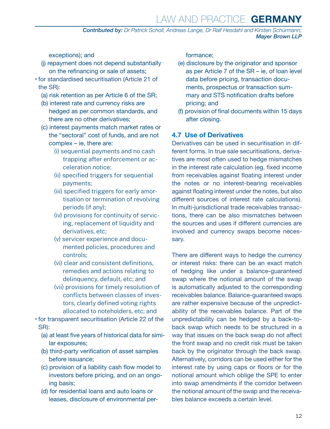## Law and Practice **GERMANY**

*Contributed by: Dr Patrick Scholl, Andreas Lange, Dr Ralf Hesdahl and Kirsten Schürmann, Mayer Brown LLP*

<span id="page-11-0"></span>exceptions); and

- (j) repayment does not depend substantially on the refinancing or sale of assets;
- for standardised securitisation (Article 21 of the SR):
	- (a) risk retention as per Article 6 of the SR;
	- (b) interest rate and currency risks are hedged as per common standards, and there are no other derivatives;
	- (c) interest payments match market rates or the "sectoral" cost of funds, and are not complex – ie, there are:
		- (i) sequential payments and no cash trapping after enforcement or acceleration notice;
		- (ii) specified triggers for sequential payments;
		- (iii) specified triggers for early amortisation or termination of revolving periods (if any);
		- (iv) provisions for continuity of servicing, replacement of liquidity and derivatives, etc;
		- (v) servicer experience and documented policies, procedures and controls;
		- (vi) clear and consistent definitions, remedies and actions relating to delinquency, default, etc; and
		- (vii) provisions for timely resolution of conflicts between classes of investors, clearly defined voting rights allocated to noteholders, etc; and
- for transparent securitisation (Article 22 of the SR):
	- (a) at least five years of historical data for similar exposures;
	- (b) third-party verification of asset samples before issuance;
	- (c) provision of a liability cash flow model to investors before pricing, and on an ongoing basis;
	- (d) for residential loans and auto loans or leases, disclosure of environmental per-

formance;

- (e) disclosure by the originator and sponsor as per Article 7 of the SR – ie, of loan level data before pricing, transaction documents, prospectus or transaction summary and STS notification drafts before pricing; and
- (f) provision of final documents within 15 days after closing.

#### **4.7 Use of Derivatives**

Derivatives can be used in securitisation in different forms. In true sale securitisations, derivatives are most often used to hedge mismatches in the interest rate calculation (eg, fixed income from receivables against floating interest under the notes or no interest-bearing receivables against floating interest under the notes, but also different sources of interest rate calculations). In multi-jurisdictional trade receivables transactions, there can be also mismatches between the sources and uses if different currencies are involved and currency swaps become necessary.

There are different ways to hedge the currency or interest risks: there can be an exact match of hedging like under a balance-guaranteed swap where the notional amount of the swap is automatically adjusted to the corresponding receivables balance. Balance-guaranteed swaps are rather expensive because of the unpredictability of the receivables balance. Part of the unpredictability can be hedged by a back-toback swap which needs to be structured in a way that issues on the back swap do not affect the front swap and no credit risk must be taken back by the originator through the back swap. Alternatively, corridors can be used either for the interest rate by using caps or floors or for the notional amount which oblige the SPE to enter into swap amendments if the corridor between the notional amount of the swap and the receivables balance exceeds a certain level.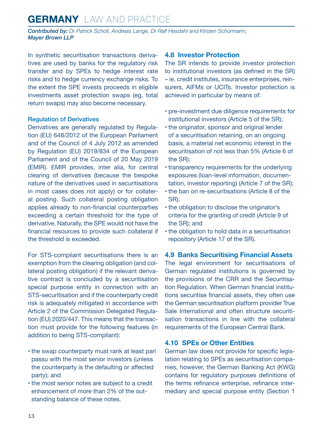<span id="page-12-0"></span>*Contributed by: Dr Patrick Scholl, Andreas Lange, Dr Ralf Hesdahl and Kirsten Schürmann, Mayer Brown LLP*

In synthetic securitisation transactions derivatives are used by banks for the regulatory risk transfer and by SPEs to hedge interest rate risks and to hedge currency exchange risks. To the extent the SPE invests proceeds in eligible investments asset protection swaps (eg, total return swaps) may also become necessary.

#### Regulation of Derivatives

Derivatives are generally regulated by Regulation (EU) 648/2012 of the European Parliament and of the Council of 4 July 2012 as amended by Regulation (EU) 2019/834 of the European Parliament and of the Council of 20 May 2019 (EMIR). EMIR provides, inter alia, for central clearing of derivatives (because the bespoke nature of the derivatives used in securitisations in most cases does not apply) or for collateral posting. Such collateral posting obligation applies already to non-financial counterparties exceeding a certain threshold for the type of derivative. Naturally, the SPE would not have the financial resources to provide such collateral if the threshold is exceeded.

For STS-compliant securitisations there is an exemption from the clearing obligation (and collateral posting obligation) if the relevant derivative contract is concluded by a securitisation special purpose entity in connection with an STS-securitisation and if the counterparty credit risk is adequately mitigated in accordance with Article 2 of the Commission Delegated Regulation (EU) 2020/447. This means that the transaction must provide for the following features (in addition to being STS-compliant):

- the swap counterparty must rank at least pari passu with the most senior investors (unless the counterparty is the defaulting or affected party); and
- the most senior notes are subject to a credit enhancement of more than 2% of the outstanding balance of these notes.

#### **4.8 Investor Protection**

The SR intends to provide investor protection to institutional investors (as defined in the SR) – ie, credit institutes, insurance enterprises, reinsurers, AIFMs or UCITs. Investor protection is achieved in particular by means of:

- pre-investment due diligence requirements for institutional investors (Article 5 of the SR);
- the originator, sponsor and original lender of a securitisation retaining, on an ongoing basis, a material net economic interest in the securitisation of not less than 5% (Article 6 of the SR);
- transparency requirements for the underlying exposures (loan-level information, documentation, investor reporting) (Article 7 of the SR);
- the ban on re-securitisations (Article 8 of the SR);
- the obligation to disclose the originator's criteria for the granting of credit (Article 9 of the SR); and
- the obligation to hold data in a securitisation repository (Article 17 of the SR).

**4.9 Banks Securitising Financial Assets** The legal environment for securitisations of German regulated institutions is governed by the provisions of the CRR and the Securitisation Regulation. When German financial institutions securitise financial assets, they often use the German securitisation platform provider True Sale International and often structure securiti-

sation transactions in line with the collateral requirements of the European Central Bank.

#### **4.10 SPEs or Other Entities**

German law does not provide for specific legislation relating to SPEs as securitisation companies, however, the German Banking Act (KWG) contains for regulatory purposes definitions of the terms refinance enterprise, refinance intermediary and special purpose entity (Section 1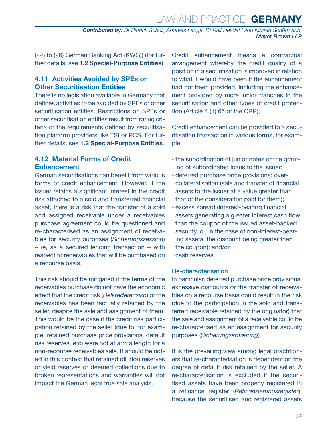<span id="page-13-0"></span>(24) to (26) German Banking Act (KWG)) (for further details, see **1.2 Special-Purpose Entities**).

#### **4.11 Activities Avoided by SPEs or Other Securitisation Entities**

There is no legislation available in Germany that defines activities to be avoided by SPEs or other securitisation entities. Restrictions on SPEs or other securitisation entities result from rating criteria or the requirements defined by securitisation platform providers like TSI or PCS. For further details, see **1.2 Special-Purpose Entities**.

#### **4.12 Material Forms of Credit Enhancement**

German securitisations can benefit from various forms of credit enhancement. However, if the issuer retains a significant interest in the credit risk attached to a sold and transferred financial asset, there is a risk that the transfer of a sold and assigned receivable under a receivables purchase agreement could be questioned and re-characterised as an assignment of receivables for security purposes (*Sicherungszession*) – ie, as a secured lending transaction – with respect to receivables that will be purchased on a recourse basis.

This risk should be mitigated if the terms of the receivables purchase do not have the economic effect that the credit risk (*Delkredererisiko*) of the receivables has been factually retained by the seller, despite the sale and assignment of them. This would be the case if the credit risk participation retained by the seller (due to, for example, retained purchase price provisions, default risk reserves, etc) were not at arm's length for a non-recourse receivables sale. It should be noted in this context that retained dilution reserves or yield reserves or deemed collections due to broken representations and warranties will not impact the German legal true sale analysis.

Credit enhancement means a contractual arrangement whereby the credit quality of a position in a securitisation is improved in relation to what it would have been if the enhancement had not been provided, including the enhancement provided by more junior tranches in the securitisation and other types of credit protection (Article 4 (1) 65 of the CRR).

Credit enhancement can be provided to a securitisation transaction in various forms, for example:

- the subordination of junior notes or the granting of subordinated loans to the issuer;
- deferred purchase price provisions; overcollateralisation (sale and transfer of financial assets to the issuer at a value greater than that of the consideration paid for them);
- excess spread (interest-bearing financial assets generating a greater interest cash flow than the coupon of the issued asset-backed security, or, in the case of non-interest-bearing assets, the discount being greater than the coupon); and/or
- cash reserves.

#### Re-characterisation

In particular, deferred purchase price provisions, excessive discounts or the transfer of receivables on a recourse basis could result in the risk (due to the participation in the sold and transferred receivable retained by the originator) that the sale and assignment of a receivable could be re-characterised as an assignment for security purposes (*Sicherungsabtretung*).

It is the prevailing view among legal practitioners that re-characterisation is dependent on the degree of default risk retained by the seller. A re-characterisation is excluded if the securitised assets have been properly registered in a refinance register (*Refinanzierungsregister*), because the securitised and registered assets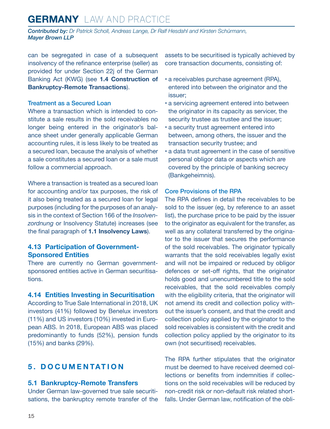<span id="page-14-0"></span>*Contributed by: Dr Patrick Scholl, Andreas Lange, Dr Ralf Hesdahl and Kirsten Schürmann, Mayer Brown LLP*

can be segregated in case of a subsequent insolvency of the refinance enterprise (seller) as provided for under Section 22j of the German Banking Act (KWG) (see **1.4 Construction of Bankruptcy-Remote Transactions**).

#### Treatment as a Secured Loan

Where a transaction which is intended to constitute a sale results in the sold receivables no longer being entered in the originator's balance sheet under generally applicable German accounting rules, it is less likely to be treated as a secured loan, because the analysis of whether a sale constitutes a secured loan or a sale must follow a commercial approach.

Where a transaction is treated as a secured loan for accounting and/or tax purposes, the risk of it also being treated as a secured loan for legal purposes (including for the purposes of an analysis in the context of Section 166 of the *Insolvenzordnung* or Insolvency Statute) increases (see the final paragraph of **1.1 Insolvency Laws**).

#### **4.13 Participation of Government-Sponsored Entities**

There are currently no German governmentsponsored entities active in German securitisations.

#### **4.14 Entities Investing in Securitisation**

According to True Sale International in 2018, UK investors (41%) followed by Benelux investors (11%) and US investors (10%) invested in European ABS. In 2018, European ABS was placed predominantly to funds (52%), pension funds (15%) and banks (29%).

#### **5. DOCUMENTATION**

#### **5.1 Bankruptcy-Remote Transfers**

Under German law-governed true sale securitisations, the bankruptcy remote transfer of the assets to be securitised is typically achieved by core transaction documents, consisting of:

- a receivables purchase agreement (RPA), entered into between the originator and the issuer;
- a servicing agreement entered into between the originator in its capacity as servicer, the security trustee as trustee and the issuer;
- a security trust agreement entered into between, among others, the issuer and the transaction security trustee; and
- a data trust agreement in the case of sensitive personal obligor data or aspects which are covered by the principle of banking secrecy (Bankgeheimnis).

#### Core Provisions of the RPA

The RPA defines in detail the receivables to be sold to the issuer (eg, by reference to an asset list), the purchase price to be paid by the issuer to the originator as equivalent for the transfer, as well as any collateral transferred by the originator to the issuer that secures the performance of the sold receivables. The originator typically warrants that the sold receivables legally exist and will not be impaired or reduced by obligor defences or set-off rights, that the originator holds good and unencumbered title to the sold receivables, that the sold receivables comply with the eligibility criteria, that the originator will not amend its credit and collection policy without the issuer's consent, and that the credit and collection policy applied by the originator to the sold receivables is consistent with the credit and collection policy applied by the originator to its own (not securitised) receivables.

The RPA further stipulates that the originator must be deemed to have received deemed collections or benefits from indemnities if collections on the sold receivables will be reduced by non-credit risk or non-default risk related shortfalls. Under German law, notification of the obli-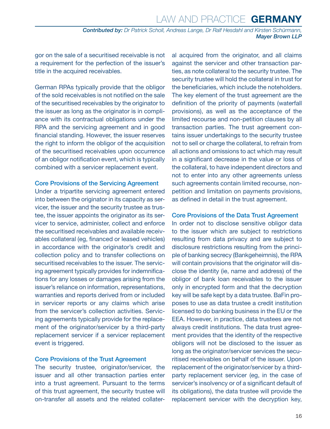gor on the sale of a securitised receivable is not a requirement for the perfection of the issuer's title in the acquired receivables.

German RPAs typically provide that the obligor of the sold receivables is not notified on the sale of the securitised receivables by the originator to the issuer as long as the originator is in compliance with its contractual obligations under the RPA and the servicing agreement and in good financial standing. However, the issuer reserves the right to inform the obligor of the acquisition of the securitised receivables upon occurrence of an obligor notification event, which is typically combined with a servicer replacement event.

#### Core Provisions of the Servicing Agreement

Under a tripartite servicing agreement entered into between the originator in its capacity as servicer, the issuer and the security trustee as trustee, the issuer appoints the originator as its servicer to service, administer, collect and enforce the securitised receivables and available receivables collateral (eg, financed or leased vehicles) in accordance with the originator's credit and collection policy and to transfer collections on securitised receivables to the issuer. The servicing agreement typically provides for indemnifications for any losses or damages arising from the issuer's reliance on information, representations, warranties and reports derived from or included in servicer reports or any claims which arise from the servicer's collection activities. Servicing agreements typically provide for the replacement of the originator/servicer by a third-party replacement servicer if a servicer replacement event is triggered.

#### Core Provisions of the Trust Agreement

The security trustee, originator/servicer, the issuer and all other transaction parties enter into a trust agreement. Pursuant to the terms of this trust agreement, the security trustee will on-transfer all assets and the related collateral acquired from the originator, and all claims against the servicer and other transaction parties, as note collateral to the security trustee. The security trustee will hold the collateral in trust for the beneficiaries, which include the noteholders. The key element of the trust agreement are the definition of the priority of payments (waterfall provisions), as well as the acceptance of the limited recourse and non-petition clauses by all transaction parties. The trust agreement contains issuer undertakings to the security trustee not to sell or charge the collateral, to refrain from all actions and omissions to act which may result in a significant decrease in the value or loss of the collateral, to have independent directors and not to enter into any other agreements unless such agreements contain limited recourse, nonpetition and limitation on payments provisions, as defined in detail in the trust agreement.

#### Core Provisions of the Data Trust Agreement

In order not to disclose sensitive obligor data to the issuer which are subject to restrictions resulting from data privacy and are subject to disclosure restrictions resulting from the principle of banking secrecy (Bankgeheimnis), the RPA will contain provisions that the originator will disclose the identity (ie, name and address) of the obligor of bank loan receivables to the issuer only in encrypted form and that the decryption key will be safe kept by a data trustee. BaFin proposes to use as data trustee a credit institution licensed to do banking business in the EU or the EEA. However, in practice, data trustees are not always credit institutions. The data trust agreement provides that the identity of the respective obligors will not be disclosed to the issuer as long as the originator/servicer services the securitised receivables on behalf of the issuer. Upon replacement of the originator/servicer by a thirdparty replacement servicer (eg, in the case of servicer's insolvency or of a significant default of its obligations), the data trustee will provide the replacement servicer with the decryption key,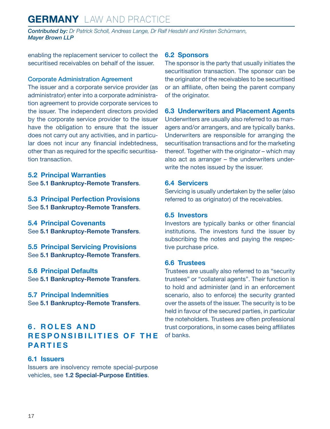<span id="page-16-0"></span>*Contributed by: Dr Patrick Scholl, Andreas Lange, Dr Ralf Hesdahl and Kirsten Schürmann, Mayer Brown LLP*

enabling the replacement servicer to collect the securitised receivables on behalf of the issuer.

#### Corporate Administration Agreement

The issuer and a corporate service provider (as administrator) enter into a corporate administration agreement to provide corporate services to the issuer. The independent directors provided by the corporate service provider to the issuer have the obligation to ensure that the issuer does not carry out any activities, and in particular does not incur any financial indebtedness, other than as required for the specific securitisation transaction.

**5.2 Principal Warranties** See **5.1 Bankruptcy-Remote Transfers**.

**5.3 Principal Perfection Provisions** See **5.1 Bankruptcy-Remote Transfers**.

**5.4 Principal Covenants** See **5.1 Bankruptcy-Remote Transfers**.

**5.5 Principal Servicing Provisions** See **5.1 Bankruptcy-Remote Transfers**.

**5.6 Principal Defaults** See **5.1 Bankruptcy-Remote Transfers**.

**5.7 Principal Indemnities** See **5.1 Bankruptcy-Remote Transfers**.

#### **6 . R O L E S A N D RESPONSIBILITIES OF THE PARTIES**

#### **6.1 Issuers**

Issuers are insolvency remote special-purpose vehicles, see **1.2 Special-Purpose Entities**.

#### **6.2 Sponsors**

The sponsor is the party that usually initiates the securitisation transaction. The sponsor can be the originator of the receivables to be securitised or an affiliate, often being the parent company of the originator.

#### **6.3 Underwriters and Placement Agents**

Underwriters are usually also referred to as managers and/or arrangers, and are typically banks. Underwriters are responsible for arranging the securitisation transactions and for the marketing thereof. Together with the originator – which may also act as arranger – the underwriters underwrite the notes issued by the issuer.

#### **6.4 Servicers**

Servicing is usually undertaken by the seller (also referred to as originator) of the receivables.

#### **6.5 Investors**

Investors are typically banks or other financial institutions. The investors fund the issuer by subscribing the notes and paying the respective purchase price.

#### **6.6 Trustees**

Trustees are usually also referred to as "security trustees" or "collateral agents". Their function is to hold and administer (and in an enforcement scenario, also to enforce) the security granted over the assets of the issuer. The security is to be held in favour of the secured parties, in particular the noteholders. Trustees are often professional trust corporations, in some cases being affiliates of banks.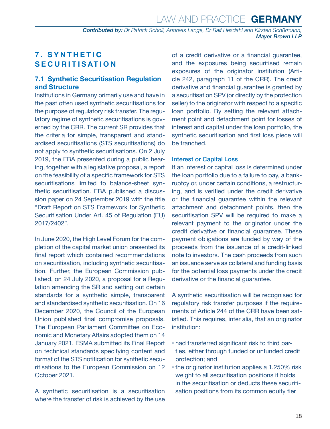#### <span id="page-17-0"></span>**7 . S Y N T H E T I C SECURITISATION**

#### **7.1 Synthetic Securitisation Regulation and Structure**

Institutions in Germany primarily use and have in the past often used synthetic securitisations for the purpose of regulatory risk transfer. The regulatory regime of synthetic securitisations is governed by the CRR. The current SR provides that the criteria for simple, transparent and standardised securitisations (STS securitisations) do not apply to synthetic securitisations. On 2 July 2019, the EBA presented during a public hearing, together with a legislative proposal, a report on the feasibility of a specific framework for STS securitisations limited to balance-sheet synthetic securitisation. EBA published a discussion paper on 24 September 2019 with the title "Draft Report on STS Framework for Synthetic Securitisation Under Art. 45 of Regulation (EU) 2017/2402".

In June 2020, the High Level Forum for the completion of the capital market union presented its final report which contained recommendations on securitisation, including synthetic securitisation. Further, the European Commission published, on 24 July 2020, a proposal for a Regulation amending the SR and setting out certain standards for a synthetic simple, transparent and standardised synthetic securitisation. On 16 December 2020, the Council of the European Union published final compromise proposals. The European Parliament Committee on Economic and Monetary Affairs adopted them on 14 January 2021. ESMA submitted its Final Report on technical standards specifying content and format of the STS notification for synthetic securitisations to the European Commission on 12 October 2021.

A synthetic securitisation is a securitisation where the transfer of risk is achieved by the use

of a credit derivative or a financial guarantee, and the exposures being securitised remain exposures of the originator institution (Article 242, paragraph 11 of the CRR). The credit derivative and financial guarantee is granted by a securitisation SPV (or directly by the protection seller) to the originator with respect to a specific loan portfolio. By setting the relevant attachment point and detachment point for losses of interest and capital under the loan portfolio, the synthetic securitisation and first loss piece will be tranched.

#### Interest or Capital Loss

If an interest or capital loss is determined under the loan portfolio due to a failure to pay, a bankruptcy or, under certain conditions, a restructuring, and is verified under the credit derivative or the financial guarantee within the relevant attachment and detachment points, then the securitisation SPV will be required to make a relevant payment to the originator under the credit derivative or financial guarantee. These payment obligations are funded by way of the proceeds from the issuance of a credit-linked note to investors. The cash proceeds from such an issuance serve as collateral and funding basis for the potential loss payments under the credit derivative or the financial guarantee.

A synthetic securitisation will be recognised for regulatory risk transfer purposes if the requirements of Article 244 of the CRR have been satisfied. This requires, inter alia, that an originator institution:

- had transferred significant risk to third parties, either through funded or unfunded credit protection; and
- the originator institution applies a 1.250% risk weight to all securitisation positions it holds in the securitisation or deducts these securitisation positions from its common equity tier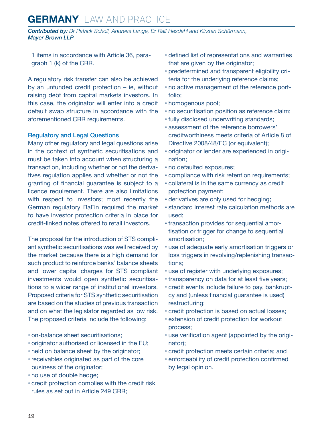*Contributed by: Dr Patrick Scholl, Andreas Lange, Dr Ralf Hesdahl and Kirsten Schürmann, Mayer Brown LLP*

1 items in accordance with Article 36, paragraph 1 (k) of the CRR.

A regulatory risk transfer can also be achieved by an unfunded credit protection – ie, without raising debt from capital markets investors. In this case, the originator will enter into a credit default swap structure in accordance with the aforementioned CRR requirements.

#### Regulatory and Legal Questions

Many other regulatory and legal questions arise in the context of synthetic securitisations and must be taken into account when structuring a transaction, including whether or not the derivatives regulation applies and whether or not the granting of financial guarantee is subject to a licence requirement. There are also limitations with respect to investors; most recently the German regulatory BaFin required the market to have investor protection criteria in place for credit-linked notes offered to retail investors.

The proposal for the introduction of STS compliant synthetic securitisations was well received by the market because there is a high demand for such product to reinforce banks' balance sheets and lower capital charges for STS compliant investments would open synthetic securitisations to a wider range of institutional investors. Proposed criteria for STS synthetic securitisation are based on the studies of previous transaction and on what the legislator regarded as low risk. The proposed criteria include the following:

- on-balance sheet securitisations;
- originator authorised or licensed in the EU;
- held on balance sheet by the originator;
- receivables originated as part of the core business of the originator;
- no use of double hedge;
- credit protection complies with the credit risk rules as set out in Article 249 CRR;
- defined list of representations and warranties that are given by the originator;
- predetermined and transparent eligibility criteria for the underlying reference claims;
- no active management of the reference portfolio;
- homogenous pool;
- no securitisation position as reference claim;
- fully disclosed underwriting standards;
- assessment of the reference borrowers' creditworthiness meets criteria of Article 8 of Directive 2008/48/EC (or equivalent);
- originator or lender are experienced in origination;
- no defaulted exposures;
- compliance with risk retention requirements;
- collateral is in the same currency as credit protection payment;
- derivatives are only used for hedging;
- standard interest rate calculation methods are used;
- transaction provides for sequential amortisation or trigger for change to sequential amortisation;
- use of adequate early amortisation triggers or loss triggers in revolving/replenishing transactions;
- use of register with underlying exposures;
- transparency on data for at least five years;
- credit events include failure to pay, bankruptcy and (unless financial guarantee is used) restructuring;
- credit protection is based on actual losses;
- extension of credit protection for workout process;
- use verification agent (appointed by the originator);
- credit protection meets certain criteria; and
- enforceability of credit protection confirmed by legal opinion.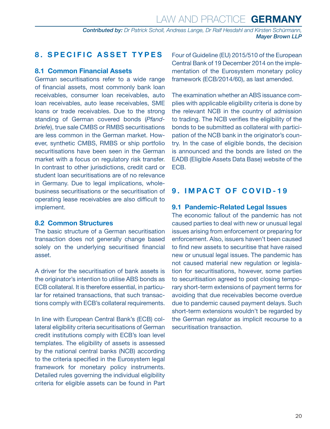#### <span id="page-19-0"></span>**8. SPECIFIC ASSET TYPES**

#### **8.1 Common Financial Assets**

German securitisations refer to a wide range of financial assets, most commonly bank loan receivables, consumer loan receivables, auto loan receivables, auto lease receivables, SME loans or trade receivables. Due to the strong standing of German covered bonds (*Pfandbriefe*), true sale CMBS or RMBS securitisations are less common in the German market. However, synthetic CMBS, RMBS or ship portfolio securitisations have been seen in the German market with a focus on regulatory risk transfer. In contrast to other jurisdictions, credit card or student loan securitisations are of no relevance in Germany. Due to legal implications, wholebusiness securitisations or the securitisation of operating lease receivables are also difficult to implement.

#### **8.2 Common Structures**

The basic structure of a German securitisation transaction does not generally change based solely on the underlying securitised financial asset.

A driver for the securitisation of bank assets is the originator's intention to utilise ABS bonds as ECB collateral. It is therefore essential, in particular for retained transactions, that such transactions comply with ECB's collateral requirements.

In line with European Central Bank's (ECB) collateral eligibility criteria securitisations of German credit institutions comply with ECB's loan level templates. The eligibility of assets is assessed by the national central banks (NCB) according to the criteria specified in the Eurosystem legal framework for monetary policy instruments. Detailed rules governing the individual eligibility criteria for eligible assets can be found in Part Four of Guideline (EU) 2015/510 of the European Central Bank of 19 December 2014 on the implementation of the Eurosystem monetary policy framework (ECB/2014/60), as last amended.

The examination whether an ABS issuance complies with applicable eligibility criteria is done by the relevant NCB in the country of admission to trading. The NCB verifies the eligibility of the bonds to be submitted as collateral with participation of the NCB bank in the originator's country. In the case of eligible bonds, the decision is announced and the bonds are listed on the EADB (Eligible Assets Data Base) website of the ECB.

#### **9. IMPACT OF COVID-19**

#### **9.1 Pandemic-Related Legal Issues**

The economic fallout of the pandemic has not caused parties to deal with new or unusual legal issues arising from enforcement or preparing for enforcement. Also, issuers haven't been caused to find new assets to securitise that have raised new or unusual legal issues. The pandemic has not caused material new regulation or legislation for securitisations, however, some parties to securitisation agreed to post closing temporary short-term extensions of payment terms for avoiding that due receivables become overdue due to pandemic caused payment delays. Such short-term extensions wouldn't be regarded by the German regulator as implicit recourse to a securitisation transaction.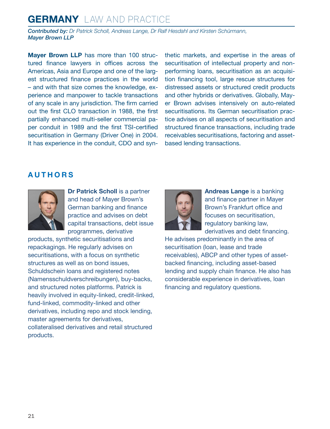*Contributed by: Dr Patrick Scholl, Andreas Lange, Dr Ralf Hesdahl and Kirsten Schürmann, Mayer Brown LLP*

**Mayer Brown LLP** has more than 100 structured finance lawyers in offices across the Americas, Asia and Europe and one of the largest structured finance practices in the world – and with that size comes the knowledge, experience and manpower to tackle transactions of any scale in any jurisdiction. The firm carried out the first CLO transaction in 1988, the first partially enhanced multi-seller commercial paper conduit in 1989 and the first TSI-certified securitisation in Germany (Driver One) in 2004. It has experience in the conduit, CDO and synthetic markets, and expertise in the areas of securitisation of intellectual property and nonperforming loans, securitisation as an acquisition financing tool, large rescue structures for distressed assets or structured credit products and other hybrids or derivatives. Globally, Mayer Brown advises intensively on auto-related securitisations. Its German securitisation practice advises on all aspects of securitisation and structured finance transactions, including trade receivables securitisations, factoring and assetbased lending transactions.

#### <span id="page-20-0"></span>**AUTHORS**



**Dr Patrick Scholl** is a partner and head of Mayer Brown's German banking and finance practice and advises on debt capital transactions, debt issue programmes, derivative

products, synthetic securitisations and repackagings. He regularly advises on securitisations, with a focus on synthetic structures as well as on bond issues, Schuldschein loans and registered notes (Namensschuldverschreibungen), buy-backs, and structured notes platforms. Patrick is heavily involved in equity-linked, credit-linked, fund-linked, commodity-linked and other derivatives, including repo and stock lending, master agreements for derivatives, collateralised derivatives and retail structured products.



**Andreas Lange** is a banking and finance partner in Mayer Brown's Frankfurt office and focuses on securitisation, regulatory banking law, derivatives and debt financing.

He advises predominantly in the area of securitisation (loan, lease and trade receivables), ABCP and other types of assetbacked financing, including asset-based lending and supply chain finance. He also has considerable experience in derivatives, loan financing and regulatory questions.